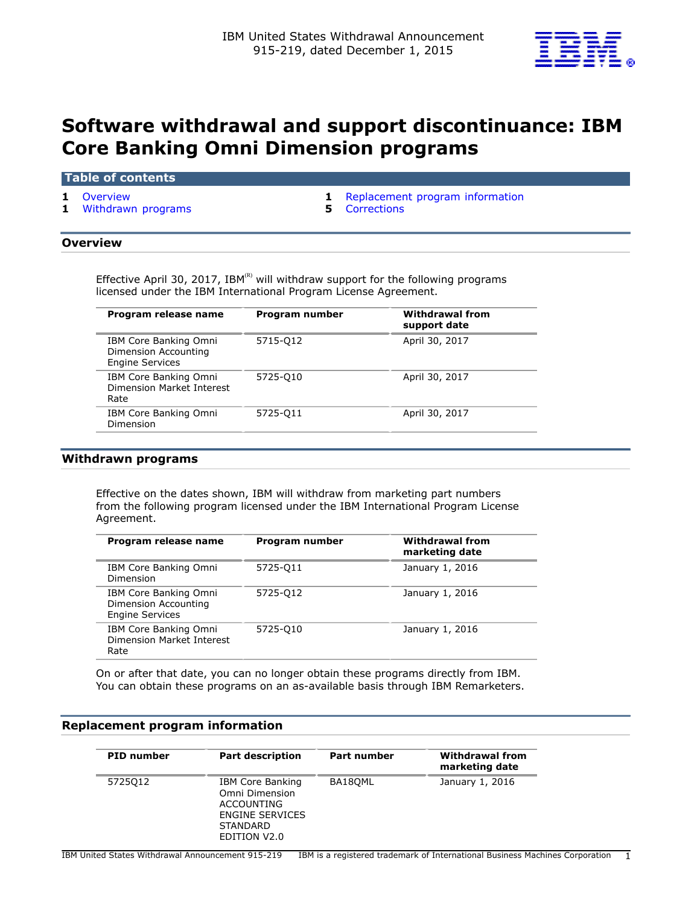

# **Software withdrawal and support discontinuance: IBM Core Banking Omni Dimension programs**

## **Table of contents**

**1** [Withdrawn programs](#page-0-2) **5** [Corrections](#page-4-0)

**1** [Overview](#page-0-0) **1** [Replacement program information](#page-0-1)

## <span id="page-0-0"></span>**Overview**

Effective April 30, 2017, IBM(R) will withdraw support for the following programs licensed under the IBM International Program License Agreement.

| Program release name                                                    | Program number | <b>Withdrawal from</b><br>support date |
|-------------------------------------------------------------------------|----------------|----------------------------------------|
| IBM Core Banking Omni<br>Dimension Accounting<br><b>Engine Services</b> | 5715-012       | April 30, 2017                         |
| IBM Core Banking Omni<br>Dimension Market Interest<br>Rate              | 5725-010       | April 30, 2017                         |
| IBM Core Banking Omni<br>Dimension                                      | 5725-011       | April 30, 2017                         |

## <span id="page-0-2"></span>**Withdrawn programs**

Effective on the dates shown, IBM will withdraw from marketing part numbers from the following program licensed under the IBM International Program License Agreement.

| Program number | <b>Withdrawal from</b><br>marketing date |
|----------------|------------------------------------------|
| 5725-011       | January 1, 2016                          |
| 5725-012       | January 1, 2016                          |
| 5725-010       | January 1, 2016                          |
|                |                                          |

On or after that date, you can no longer obtain these programs directly from IBM. You can obtain these programs on an as-available basis through IBM Remarketers.

## <span id="page-0-1"></span>**Replacement program information**

| <b>PID</b> number | <b>Part description</b>                                                                                              | Part number | <b>Withdrawal from</b><br>marketing date |
|-------------------|----------------------------------------------------------------------------------------------------------------------|-------------|------------------------------------------|
| 5725012           | IBM Core Banking<br>Omni Dimension<br>ACCOUNTING<br><b>ENGINE SERVICES</b><br><b>STANDARD</b><br><b>EDITION V2.0</b> | BA18OML     | January 1, 2016                          |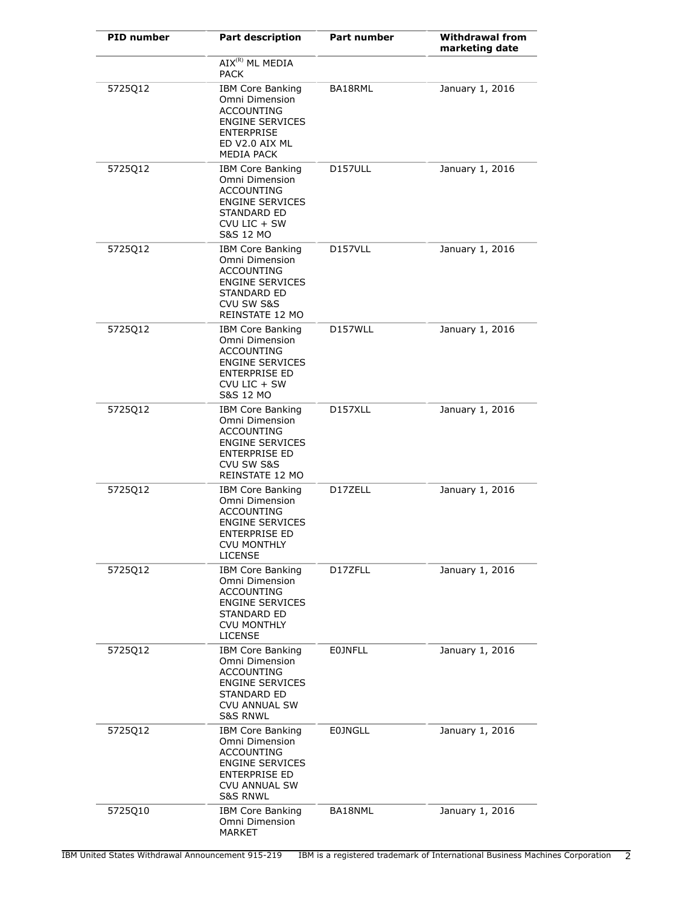| <b>PID number</b> | <b>Part description</b>                                                                                                                                  | Part number          | <b>Withdrawal from</b><br>marketing date |
|-------------------|----------------------------------------------------------------------------------------------------------------------------------------------------------|----------------------|------------------------------------------|
|                   | AIX <sup>(R)</sup> ML MEDIA<br>PACK                                                                                                                      |                      |                                          |
| 5725Q12           | <b>IBM Core Banking</b><br>Omni Dimension<br>ACCOUNTING<br><b>ENGINE SERVICES</b><br>ENTERPRISE<br>ED V2.0 AIX ML<br><b>MEDIA PACK</b>                   | BA18RML              | January 1, 2016                          |
| 5725Q12           | <b>IBM Core Banking</b><br>Omni Dimension<br>ACCOUNTING<br><b>ENGINE SERVICES</b><br><b>STANDARD ED</b><br>$CVD$ LIC + SW<br>S&S 12 MO                   | D157ULL              | January 1, 2016                          |
| 5725Q12           | <b>IBM Core Banking</b><br>Omni Dimension<br>ACCOUNTING<br><b>ENGINE SERVICES</b><br>STANDARD ED<br>CVU SW S&S<br>REINSTATE 12 MO                        | D <sub>157</sub> VLL | January 1, 2016                          |
| 5725Q12           | <b>IBM Core Banking</b><br>Omni Dimension<br><b>ACCOUNTING</b><br><b>ENGINE SERVICES</b><br>ENTERPRISE ED<br>CVU LIC + SW<br><b>S&amp;S 12 MO</b>        | D157WLL              | January 1, 2016                          |
| 5725Q12           | <b>IBM Core Banking</b><br>Omni Dimension<br>ACCOUNTING<br><b>ENGINE SERVICES</b><br>ENTERPRISE ED<br>CVU SW S&S<br>REINSTATE 12 MO                      | D157XLL              | January 1, 2016                          |
| 5725Q12           | <b>IBM Core Banking</b><br>Omni Dimension<br>ACCOUNTING<br><b>ENGINE SERVICES</b><br>ENTERPRISE ED<br><b>CVU MONTHLY</b><br>LICENSE                      | D17ZELL              | January 1, 2016                          |
| 5725Q12           | <b>IBM Core Banking</b><br>Omni Dimension<br><b>ACCOUNTING</b><br><b>ENGINE SERVICES</b><br>STANDARD ED<br><b>CVU MONTHLY</b><br><b>LICENSE</b>          | D17ZFLL              | January 1, 2016                          |
| 5725Q12           | <b>IBM Core Banking</b><br>Omni Dimension<br><b>ACCOUNTING</b><br><b>ENGINE SERVICES</b><br>STANDARD ED<br><b>CVU ANNUAL SW</b><br><b>S&amp;S RNWL</b>   | <b>EOJNFLL</b>       | January 1, 2016                          |
| 5725012           | <b>IBM Core Banking</b><br>Omni Dimension<br><b>ACCOUNTING</b><br><b>ENGINE SERVICES</b><br>ENTERPRISE ED<br><b>CVU ANNUAL SW</b><br><b>S&amp;S RNWL</b> | <b>E0JNGLL</b>       | January 1, 2016                          |
| 5725Q10           | <b>IBM Core Banking</b><br>Omni Dimension<br>MARKET                                                                                                      | BA18NML              | January 1, 2016                          |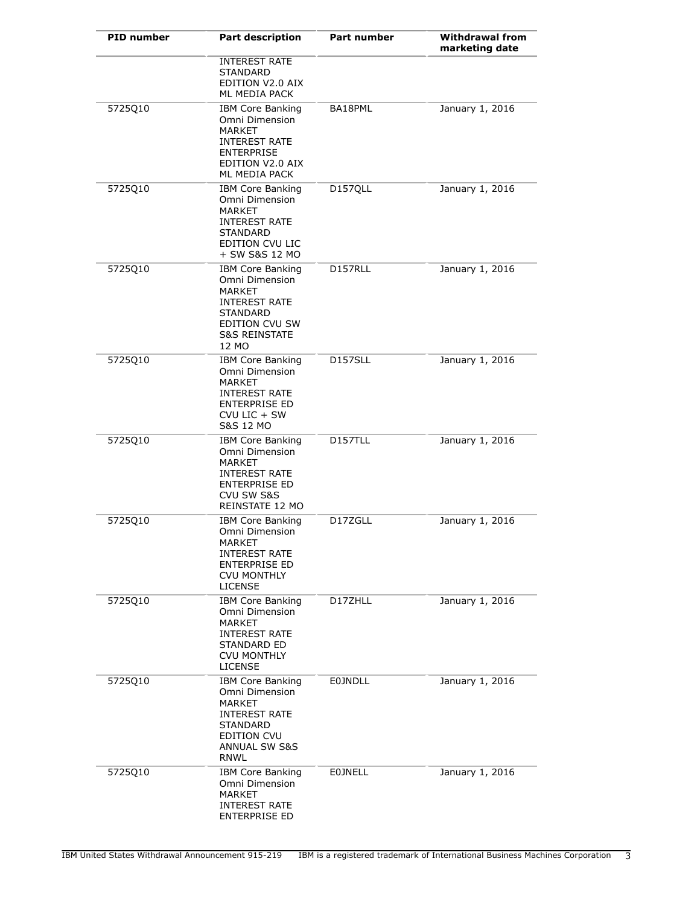| <b>PID number</b> | <b>Part description</b>                                                                                                                               | Part number    | <b>Withdrawal from</b><br>marketing date |
|-------------------|-------------------------------------------------------------------------------------------------------------------------------------------------------|----------------|------------------------------------------|
|                   | <b>INTEREST RATE</b><br>STANDARD<br>EDITION V2.0 AIX<br>ML MEDIA PACK                                                                                 |                |                                          |
| 5725Q10           | <b>IBM Core Banking</b><br>Omni Dimension<br><b>MARKET</b><br><b>INTEREST RATE</b><br><b>ENTERPRISE</b><br>EDITION V2.0 AIX<br>ML MEDIA PACK          | BA18PML        | January 1, 2016                          |
| 5725Q10           | <b>IBM Core Banking</b><br>Omni Dimension<br>MARKET<br><b>INTEREST RATE</b><br>STANDARD<br>EDITION CVU LIC<br>+ SW S&S 12 MO                          | D157QLL        | January 1, 2016                          |
| 5725Q10           | <b>IBM Core Banking</b><br>Omni Dimension<br><b>MARKET</b><br><b>INTEREST RATE</b><br>STANDARD<br>EDITION CVU SW<br><b>S&amp;S REINSTATE</b><br>12 MO | D157RLL        | January 1, 2016                          |
| 5725Q10           | <b>IBM Core Banking</b><br>Omni Dimension<br>MARKET<br><b>INTEREST RATE</b><br><b>ENTERPRISE ED</b><br>$CVD$ LIC + SW<br><b>S&amp;S 12 MO</b>         | <b>D157SLL</b> | January 1, 2016                          |
| 5725Q10           | <b>IBM Core Banking</b><br>Omni Dimension<br><b>MARKET</b><br><b>INTEREST RATE</b><br><b>ENTERPRISE ED</b><br>CVU SW S&S<br>REINSTATE 12 MO           | D157TLL        | January 1, 2016                          |
| 5725Q10           | <b>IBM Core Banking</b><br>Omni Dimension<br>MARKEI<br><b>INTEREST RATE</b><br><b>ENTERPRISE ED</b><br><b>CVU MONTHLY</b><br><b>LICENSE</b>           | D17ZGLL        | January 1, 2016                          |
| 5725Q10           | <b>IBM Core Banking</b><br>Omni Dimension<br><b>MARKET</b><br><b>INTEREST RATE</b><br>STANDARD ED<br><b>CVU MONTHLY</b><br><b>LICENSE</b>             | D17ZHLL        | January 1, 2016                          |
| 5725Q10           | <b>IBM Core Banking</b><br>Omni Dimension<br><b>MARKET</b><br><b>INTEREST RATE</b><br>STANDARD<br>EDITION CVU<br>ANNUAL SW S&S<br><b>RNWL</b>         | <b>E0JNDLL</b> | January 1, 2016                          |
| 5725Q10           | <b>IBM Core Banking</b><br>Omni Dimension<br><b>MARKET</b><br><b>INTEREST RATE</b><br><b>ENTERPRISE ED</b>                                            | <b>EOJNELL</b> | January 1, 2016                          |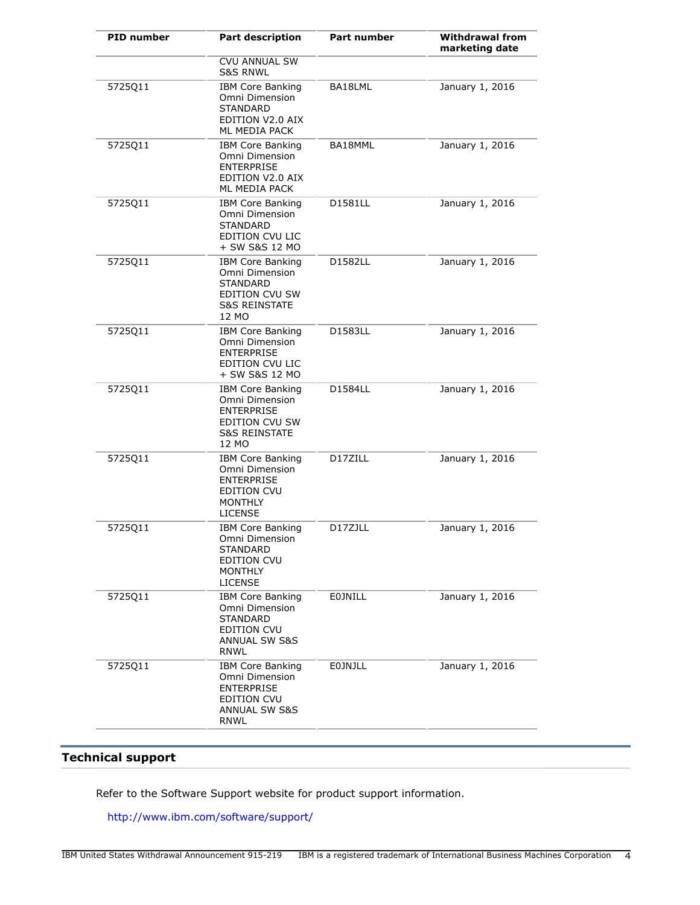| <b>PID number</b> | <b>Part description</b>                                                                                                       | Part number    | <b>Withdrawal from</b><br>marketing date |
|-------------------|-------------------------------------------------------------------------------------------------------------------------------|----------------|------------------------------------------|
|                   | <b>CVU ANNUAL SW</b><br><b>S&amp;S RNWL</b>                                                                                   |                |                                          |
| 5725Q11           | <b>IBM Core Banking</b><br>Omni Dimension<br><b>STANDARD</b><br>EDITION V2.0 AIX<br>ML MEDIA PACK                             | BA18LML        | January 1, 2016                          |
| 5725Q11           | <b>IBM Core Banking</b><br>Omni Dimension<br><b>ENTERPRISE</b><br>EDITION V2.0 AIX<br>ML MEDIA PACK                           | BA18MML        | January 1, 2016                          |
| 5725Q11           | <b>IBM Core Banking</b><br>Omni Dimension<br><b>STANDARD</b><br>EDITION CVU LIC<br>+ SW S&S 12 MO                             | D1581LL        | January 1, 2016                          |
| 5725Q11           | <b>IBM Core Banking</b><br>Omni Dimension<br><b>STANDARD</b><br>EDITION CVU SW<br><b>S&amp;S REINSTATE</b><br>12 MO           | D1582LL        | January 1, 2016                          |
| 5725Q11           | <b>IBM Core Banking</b><br>Omni Dimension<br><b>ENTERPRISE</b><br>EDITION CVU LIC<br>+ SW S&S 12 MO                           | D1583LL        | January 1, 2016                          |
| 5725Q11           | <b>IBM Core Banking</b><br>Omni Dimension<br><b>ENTERPRISE</b><br>EDITION CVU SW<br><b>S&amp;S REINSTATE</b><br>12 MO         | D1584LL        | January 1, 2016                          |
| 5725Q11           | <b>IBM Core Banking</b><br>Omni Dimension<br><b>ENTERPRISE</b><br>EDITION CVU<br><b>MONTHLY</b><br><b>LICENSE</b>             | D17ZILL        | January 1, 2016                          |
| 5725Q11           | <b>IBM Core Banking</b><br>Omni Dimension<br><b>STANDARD</b><br>EDITION CVU<br><b>MONTHLY</b><br><b>LICENSE</b>               | D17ZJLL        | January 1, 2016                          |
| 5725Q11           | <b>IBM Core Banking</b><br>Omni Dimension<br><b>STANDARD</b><br><b>EDITION CVU</b><br><b>ANNUAL SW S&amp;S</b><br><b>RNWL</b> | <b>EOJNILL</b> | January 1, 2016                          |
| 5725Q11           | <b>IBM Core Banking</b><br>Omni Dimension<br><b>ENTERPRISE</b><br>EDITION CVU<br><b>ANNUAL SW S&amp;S</b><br>RNWL             | <b>EOJNJLL</b> | January 1, 2016                          |

## **Technical support**

Refer to the Software Support website for product support information.

<http://www.ibm.com/software/support/>